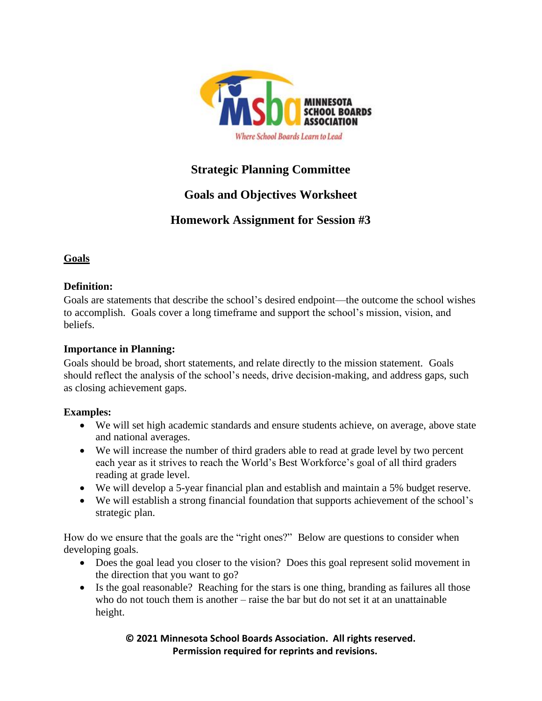

## **Strategic Planning Committee**

# **Goals and Objectives Worksheet**

# **Homework Assignment for Session #3**

## **Goals**

## **Definition:**

Goals are statements that describe the school's desired endpoint—the outcome the school wishes to accomplish. Goals cover a long timeframe and support the school's mission, vision, and beliefs.

## **Importance in Planning:**

Goals should be broad, short statements, and relate directly to the mission statement. Goals should reflect the analysis of the school's needs, drive decision-making, and address gaps, such as closing achievement gaps.

## **Examples:**

- We will set high academic standards and ensure students achieve, on average, above state and national averages.
- We will increase the number of third graders able to read at grade level by two percent each year as it strives to reach the World's Best Workforce's goal of all third graders reading at grade level.
- We will develop a 5-year financial plan and establish and maintain a 5% budget reserve.
- We will establish a strong financial foundation that supports achievement of the school's strategic plan.

How do we ensure that the goals are the "right ones?" Below are questions to consider when developing goals.

- Does the goal lead you closer to the vision? Does this goal represent solid movement in the direction that you want to go?
- Is the goal reasonable? Reaching for the stars is one thing, branding as failures all those who do not touch them is another – raise the bar but do not set it at an unattainable height.

#### **© 2021 Minnesota School Boards Association. All rights reserved. Permission required for reprints and revisions.**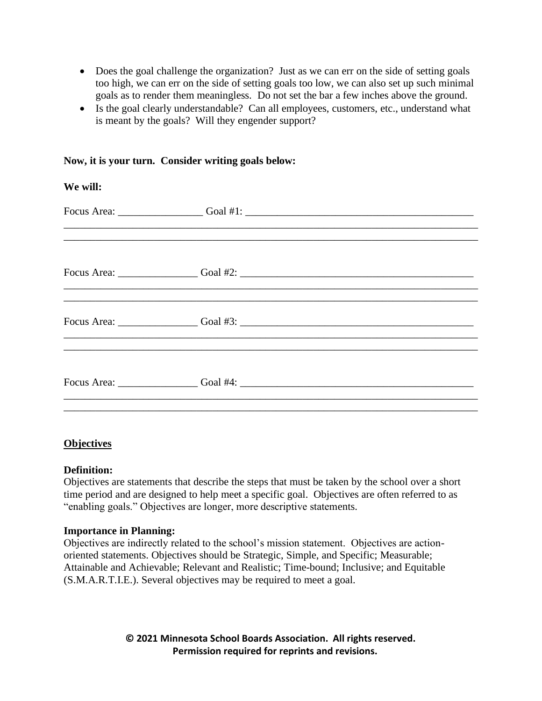- Does the goal challenge the organization? Just as we can err on the side of setting goals too high, we can err on the side of setting goals too low, we can also set up such minimal goals as to render them meaningless. Do not set the bar a few inches above the ground.
- Is the goal clearly understandable? Can all employees, customers, etc., understand what is meant by the goals? Will they engender support?

| We will: |                                                                                  |
|----------|----------------------------------------------------------------------------------|
|          |                                                                                  |
|          |                                                                                  |
|          | ,我们也不能会在这里,我们也不能会在这里,我们也不能会在这里,我们也不能会在这里,我们也不能会在这里,我们也不能会在这里,我们也不能会不能会不能会不能会不能会不 |
|          |                                                                                  |
|          |                                                                                  |

#### **Now, it is your turn. Consider writing goals below:**

#### **Objectives**

#### **Definition:**

Objectives are statements that describe the steps that must be taken by the school over a short time period and are designed to help meet a specific goal. Objectives are often referred to as "enabling goals." Objectives are longer, more descriptive statements.

#### **Importance in Planning:**

Objectives are indirectly related to the school's mission statement. Objectives are actionoriented statements. Objectives should be Strategic, Simple, and Specific; Measurable; Attainable and Achievable; Relevant and Realistic; Time-bound; Inclusive; and Equitable (S.M.A.R.T.I.E.). Several objectives may be required to meet a goal.

> **© 2021 Minnesota School Boards Association. All rights reserved. Permission required for reprints and revisions.**